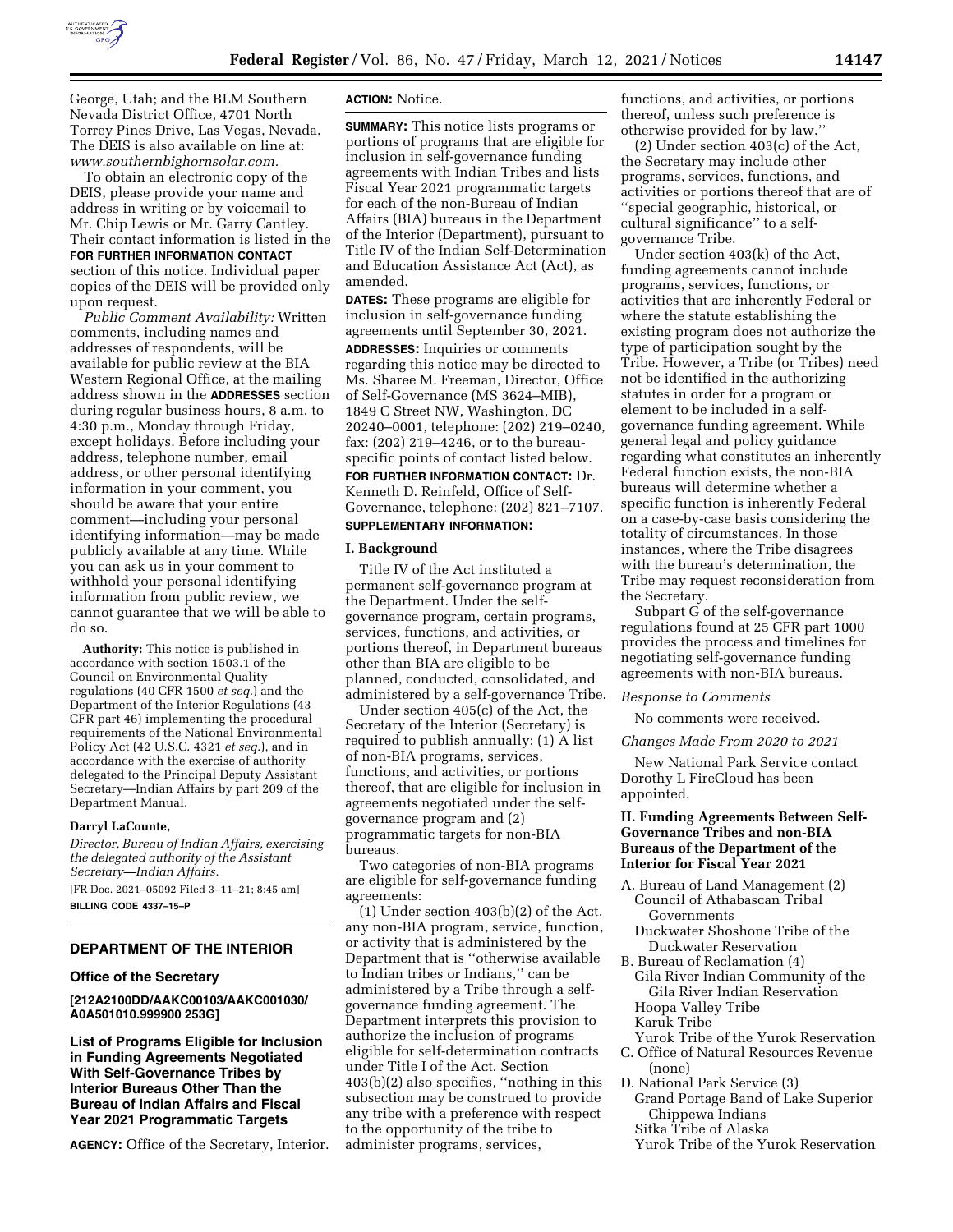

George, Utah; and the BLM Southern Nevada District Office, 4701 North Torrey Pines Drive, Las Vegas, Nevada. The DEIS is also available on line at: *[www.southernbighornsolar.com.](http://www.southernbighornsolar.com)* 

To obtain an electronic copy of the DEIS, please provide your name and address in writing or by voicemail to Mr. Chip Lewis or Mr. Garry Cantley. Their contact information is listed in the **FOR FURTHER INFORMATION CONTACT** section of this notice. Individual paper copies of the DEIS will be provided only upon request.

*Public Comment Availability:* Written comments, including names and addresses of respondents, will be available for public review at the BIA Western Regional Office, at the mailing address shown in the **ADDRESSES** section during regular business hours, 8 a.m. to 4:30 p.m., Monday through Friday, except holidays. Before including your address, telephone number, email address, or other personal identifying information in your comment, you should be aware that your entire comment—including your personal identifying information—may be made publicly available at any time. While you can ask us in your comment to withhold your personal identifying information from public review, we cannot guarantee that we will be able to do so.

**Authority:** This notice is published in accordance with section 1503.1 of the Council on Environmental Quality regulations (40 CFR 1500 *et seq.*) and the Department of the Interior Regulations (43 CFR part 46) implementing the procedural requirements of the National Environmental Policy Act (42 U.S.C. 4321 *et seq.*), and in accordance with the exercise of authority delegated to the Principal Deputy Assistant Secretary—Indian Affairs by part 209 of the Department Manual.

#### **Darryl LaCounte,**

*Director, Bureau of Indian Affairs, exercising the delegated authority of the Assistant Secretary—Indian Affairs.*  [FR Doc. 2021–05092 Filed 3–11–21; 8:45 am]

**BILLING CODE 4337–15–P** 

### **DEPARTMENT OF THE INTERIOR**

#### **Office of the Secretary**

#### **[212A2100DD/AAKC00103/AAKC001030/ A0A501010.999900 253G]**

**List of Programs Eligible for Inclusion in Funding Agreements Negotiated With Self-Governance Tribes by Interior Bureaus Other Than the Bureau of Indian Affairs and Fiscal Year 2021 Programmatic Targets** 

**AGENCY:** Office of the Secretary, Interior.

#### **ACTION:** Notice.

**SUMMARY:** This notice lists programs or portions of programs that are eligible for inclusion in self-governance funding agreements with Indian Tribes and lists Fiscal Year 2021 programmatic targets for each of the non-Bureau of Indian Affairs (BIA) bureaus in the Department of the Interior (Department), pursuant to Title IV of the Indian Self-Determination and Education Assistance Act (Act), as amended.

**DATES:** These programs are eligible for inclusion in self-governance funding agreements until September 30, 2021. **ADDRESSES:** Inquiries or comments regarding this notice may be directed to Ms. Sharee M. Freeman, Director, Office of Self-Governance (MS 3624–MIB), 1849 C Street NW, Washington, DC 20240–0001, telephone: (202) 219–0240, fax: (202) 219–4246, or to the bureauspecific points of contact listed below. **FOR FURTHER INFORMATION CONTACT:** Dr. Kenneth D. Reinfeld, Office of Self-Governance, telephone: (202) 821–7107. **SUPPLEMENTARY INFORMATION:** 

#### **I. Background**

Title IV of the Act instituted a permanent self-governance program at the Department. Under the selfgovernance program, certain programs, services, functions, and activities, or portions thereof, in Department bureaus other than BIA are eligible to be planned, conducted, consolidated, and administered by a self-governance Tribe.

Under section 405(c) of the Act, the Secretary of the Interior (Secretary) is required to publish annually: (1) A list of non-BIA programs, services, functions, and activities, or portions thereof, that are eligible for inclusion in agreements negotiated under the selfgovernance program and (2) programmatic targets for non-BIA bureaus.

Two categories of non-BIA programs are eligible for self-governance funding agreements:

(1) Under section 403(b)(2) of the Act, any non-BIA program, service, function, or activity that is administered by the Department that is ''otherwise available to Indian tribes or Indians,'' can be administered by a Tribe through a selfgovernance funding agreement. The Department interprets this provision to authorize the inclusion of programs eligible for self-determination contracts under Title I of the Act. Section 403(b)(2) also specifies, ''nothing in this subsection may be construed to provide any tribe with a preference with respect to the opportunity of the tribe to administer programs, services,

functions, and activities, or portions thereof, unless such preference is otherwise provided for by law.''

(2) Under section 403(c) of the Act, the Secretary may include other programs, services, functions, and activities or portions thereof that are of ''special geographic, historical, or cultural significance'' to a selfgovernance Tribe.

Under section 403(k) of the Act, funding agreements cannot include programs, services, functions, or activities that are inherently Federal or where the statute establishing the existing program does not authorize the type of participation sought by the Tribe. However, a Tribe (or Tribes) need not be identified in the authorizing statutes in order for a program or element to be included in a selfgovernance funding agreement. While general legal and policy guidance regarding what constitutes an inherently Federal function exists, the non-BIA bureaus will determine whether a specific function is inherently Federal on a case-by-case basis considering the totality of circumstances. In those instances, where the Tribe disagrees with the bureau's determination, the Tribe may request reconsideration from the Secretary.

Subpart G of the self-governance regulations found at 25 CFR part 1000 provides the process and timelines for negotiating self-governance funding agreements with non-BIA bureaus.

#### *Response to Comments*

No comments were received.

#### *Changes Made From 2020 to 2021*

New National Park Service contact Dorothy L FireCloud has been appointed.

### **II. Funding Agreements Between Self-Governance Tribes and non-BIA Bureaus of the Department of the Interior for Fiscal Year 2021**

- A. Bureau of Land Management (2) Council of Athabascan Tribal Governments
	- Duckwater Shoshone Tribe of the Duckwater Reservation
- B. Bureau of Reclamation (4) Gila River Indian Community of the Gila River Indian Reservation Hoopa Valley Tribe Karuk Tribe
- Yurok Tribe of the Yurok Reservation
- C. Office of Natural Resources Revenue (none)
- D. National Park Service (3) Grand Portage Band of Lake Superior Chippewa Indians
	- Sitka Tribe of Alaska
	- Yurok Tribe of the Yurok Reservation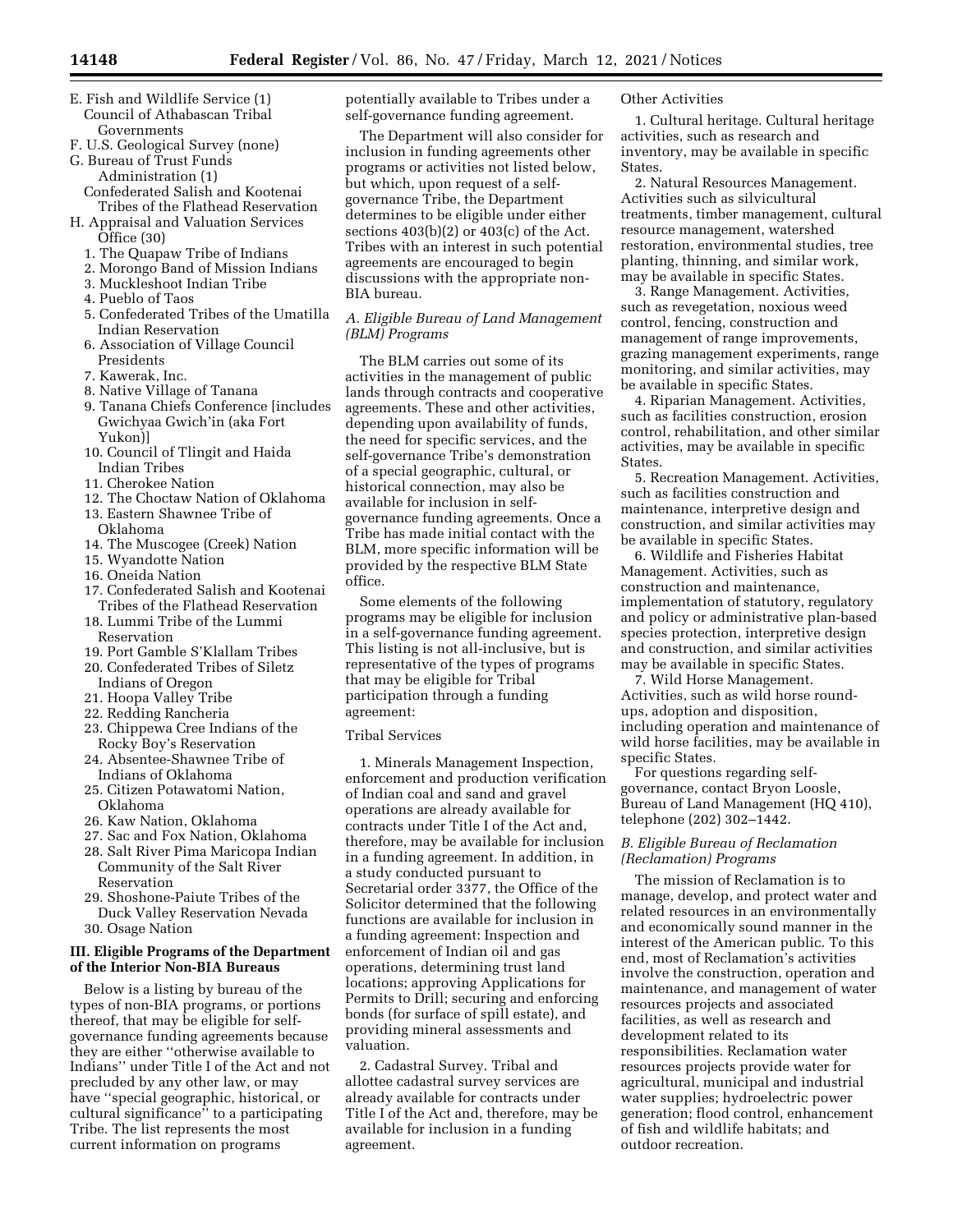- E. Fish and Wildlife Service (1) Council of Athabascan Tribal Governments
- F. U.S. Geological Survey (none) G. Bureau of Trust Funds
- Administration (1) Confederated Salish and Kootenai
- Tribes of the Flathead Reservation H. Appraisal and Valuation Services
	- Office (30)
	- 1. The Quapaw Tribe of Indians
	- 2. Morongo Band of Mission Indians 3. Muckleshoot Indian Tribe
	- 4. Pueblo of Taos
	- 5. Confederated Tribes of the Umatilla Indian Reservation
	- 6. Association of Village Council Presidents
	- 7. Kawerak, Inc.
	- 8. Native Village of Tanana
	- 9. Tanana Chiefs Conference [includes Gwichyaa Gwich'in (aka Fort Yukon)]
	- 10. Council of Tlingit and Haida Indian Tribes
	- 11. Cherokee Nation
	- 12. The Choctaw Nation of Oklahoma
	- 13. Eastern Shawnee Tribe of Oklahoma
	- 14. The Muscogee (Creek) Nation
	- 15. Wyandotte Nation
	- 16. Oneida Nation
	- 17. Confederated Salish and Kootenai Tribes of the Flathead Reservation
	- 18. Lummi Tribe of the Lummi Reservation
	- 19. Port Gamble S'Klallam Tribes
	- 20. Confederated Tribes of Siletz Indians of Oregon
	- 21. Hoopa Valley Tribe
	- 22. Redding Rancheria
	- 23. Chippewa Cree Indians of the Rocky Boy's Reservation
	- 24. Absentee-Shawnee Tribe of Indians of Oklahoma
	- 25. Citizen Potawatomi Nation, Oklahoma
	- 26. Kaw Nation, Oklahoma
	- 27. Sac and Fox Nation, Oklahoma 28. Salt River Pima Maricopa Indian
	- Community of the Salt River Reservation
	- 29. Shoshone-Paiute Tribes of the Duck Valley Reservation Nevada 30. Osage Nation

## **III. Eligible Programs of the Department of the Interior Non-BIA Bureaus**

Below is a listing by bureau of the types of non-BIA programs, or portions thereof, that may be eligible for selfgovernance funding agreements because they are either ''otherwise available to Indians'' under Title I of the Act and not precluded by any other law, or may have ''special geographic, historical, or cultural significance'' to a participating Tribe. The list represents the most current information on programs

potentially available to Tribes under a self-governance funding agreement.

The Department will also consider for inclusion in funding agreements other programs or activities not listed below, but which, upon request of a selfgovernance Tribe, the Department determines to be eligible under either sections  $403(b)(2)$  or  $403(c)$  of the Act. Tribes with an interest in such potential agreements are encouraged to begin discussions with the appropriate non-BIA bureau.

# *A. Eligible Bureau of Land Management (BLM) Programs*

The BLM carries out some of its activities in the management of public lands through contracts and cooperative agreements. These and other activities, depending upon availability of funds, the need for specific services, and the self-governance Tribe's demonstration of a special geographic, cultural, or historical connection, may also be available for inclusion in selfgovernance funding agreements. Once a Tribe has made initial contact with the BLM, more specific information will be provided by the respective BLM State office.

Some elements of the following programs may be eligible for inclusion in a self-governance funding agreement. This listing is not all-inclusive, but is representative of the types of programs that may be eligible for Tribal participation through a funding agreement:

# Tribal Services

1. Minerals Management Inspection, enforcement and production verification of Indian coal and sand and gravel operations are already available for contracts under Title I of the Act and, therefore, may be available for inclusion in a funding agreement. In addition, in a study conducted pursuant to Secretarial order 3377, the Office of the Solicitor determined that the following functions are available for inclusion in a funding agreement: Inspection and enforcement of Indian oil and gas operations, determining trust land locations; approving Applications for Permits to Drill; securing and enforcing bonds (for surface of spill estate), and providing mineral assessments and valuation.

2. Cadastral Survey. Tribal and allottee cadastral survey services are already available for contracts under Title I of the Act and, therefore, may be available for inclusion in a funding agreement.

### Other Activities

1. Cultural heritage. Cultural heritage activities, such as research and inventory, may be available in specific States.

2. Natural Resources Management. Activities such as silvicultural treatments, timber management, cultural resource management, watershed restoration, environmental studies, tree planting, thinning, and similar work, may be available in specific States.

3. Range Management. Activities, such as revegetation, noxious weed control, fencing, construction and management of range improvements, grazing management experiments, range monitoring, and similar activities, may be available in specific States.

4. Riparian Management. Activities, such as facilities construction, erosion control, rehabilitation, and other similar activities, may be available in specific States.

5. Recreation Management. Activities, such as facilities construction and maintenance, interpretive design and construction, and similar activities may be available in specific States.

6. Wildlife and Fisheries Habitat Management. Activities, such as construction and maintenance, implementation of statutory, regulatory and policy or administrative plan-based species protection, interpretive design and construction, and similar activities may be available in specific States.

7. Wild Horse Management. Activities, such as wild horse roundups, adoption and disposition, including operation and maintenance of wild horse facilities, may be available in specific States.

For questions regarding selfgovernance, contact Bryon Loosle, Bureau of Land Management (HQ 410), telephone (202) 302–1442.

# *B. Eligible Bureau of Reclamation (Reclamation) Programs*

The mission of Reclamation is to manage, develop, and protect water and related resources in an environmentally and economically sound manner in the interest of the American public. To this end, most of Reclamation's activities involve the construction, operation and maintenance, and management of water resources projects and associated facilities, as well as research and development related to its responsibilities. Reclamation water resources projects provide water for agricultural, municipal and industrial water supplies; hydroelectric power generation; flood control, enhancement of fish and wildlife habitats; and outdoor recreation.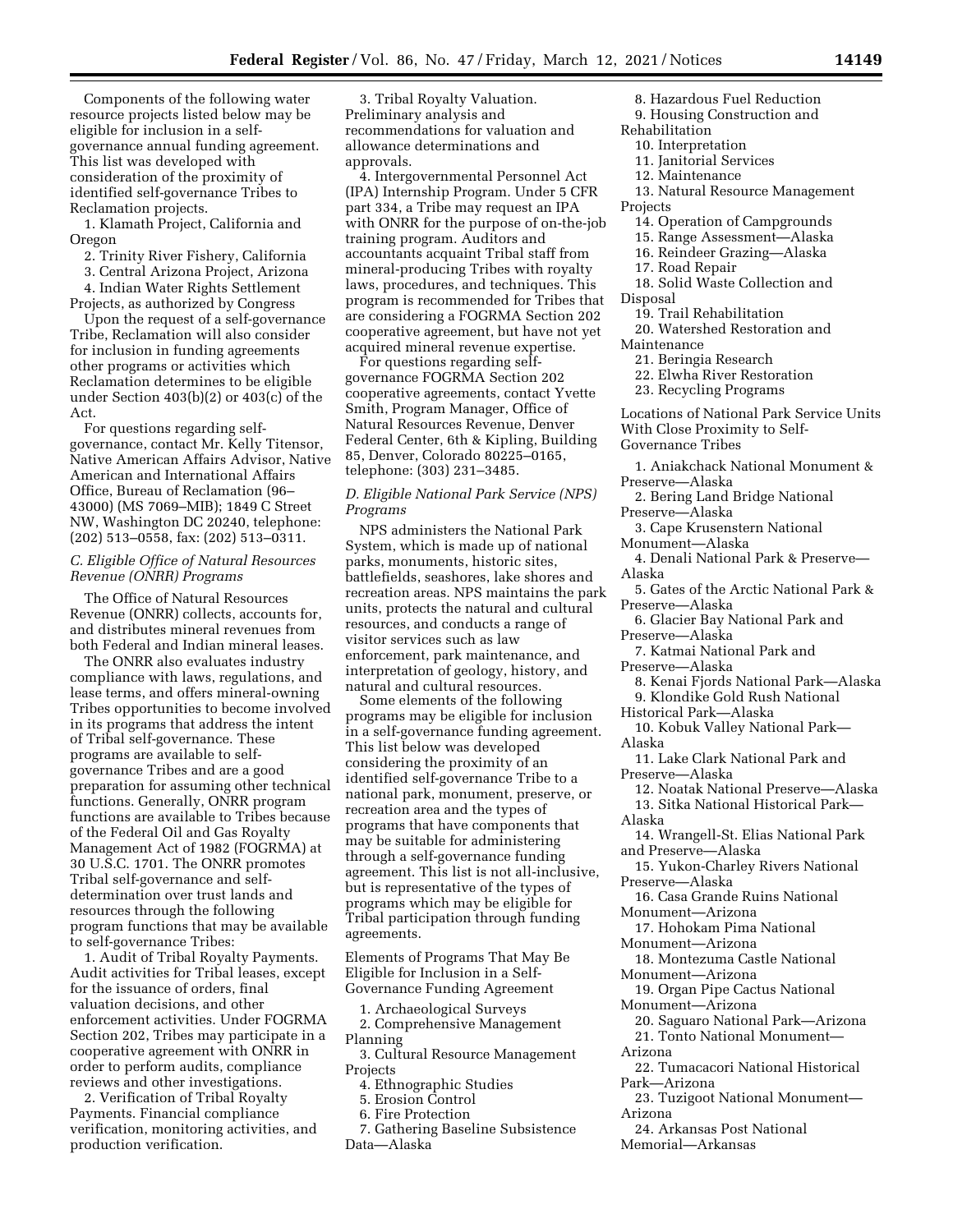Components of the following water resource projects listed below may be eligible for inclusion in a selfgovernance annual funding agreement. This list was developed with consideration of the proximity of identified self-governance Tribes to Reclamation projects.

1. Klamath Project, California and Oregon

2. Trinity River Fishery, California

3. Central Arizona Project, Arizona

4. Indian Water Rights Settlement Projects, as authorized by Congress

Upon the request of a self-governance Tribe, Reclamation will also consider for inclusion in funding agreements other programs or activities which Reclamation determines to be eligible under Section 403(b)(2) or 403(c) of the Act.

For questions regarding selfgovernance, contact Mr. Kelly Titensor, Native American Affairs Advisor, Native American and International Affairs Office, Bureau of Reclamation (96– 43000) (MS 7069–MIB); 1849 C Street NW, Washington DC 20240, telephone: (202) 513–0558, fax: (202) 513–0311.

### *C. Eligible Office of Natural Resources Revenue (ONRR) Programs*

The Office of Natural Resources Revenue (ONRR) collects, accounts for, and distributes mineral revenues from both Federal and Indian mineral leases.

The ONRR also evaluates industry compliance with laws, regulations, and lease terms, and offers mineral-owning Tribes opportunities to become involved in its programs that address the intent of Tribal self-governance. These programs are available to selfgovernance Tribes and are a good preparation for assuming other technical functions. Generally, ONRR program functions are available to Tribes because of the Federal Oil and Gas Royalty Management Act of 1982 (FOGRMA) at 30 U.S.C. 1701. The ONRR promotes Tribal self-governance and selfdetermination over trust lands and resources through the following program functions that may be available to self-governance Tribes:

1. Audit of Tribal Royalty Payments. Audit activities for Tribal leases, except for the issuance of orders, final valuation decisions, and other enforcement activities. Under FOGRMA Section 202, Tribes may participate in a cooperative agreement with ONRR in order to perform audits, compliance reviews and other investigations.

2. Verification of Tribal Royalty Payments. Financial compliance verification, monitoring activities, and production verification.

3. Tribal Royalty Valuation. Preliminary analysis and recommendations for valuation and allowance determinations and approvals.

4. Intergovernmental Personnel Act (IPA) Internship Program. Under 5 CFR part 334, a Tribe may request an IPA with ONRR for the purpose of on-the-job training program. Auditors and accountants acquaint Tribal staff from mineral-producing Tribes with royalty laws, procedures, and techniques. This program is recommended for Tribes that are considering a FOGRMA Section 202 cooperative agreement, but have not yet acquired mineral revenue expertise.

For questions regarding selfgovernance FOGRMA Section 202 cooperative agreements, contact Yvette Smith, Program Manager, Office of Natural Resources Revenue, Denver Federal Center, 6th & Kipling, Building 85, Denver, Colorado 80225–0165, telephone: (303) 231–3485.

*D. Eligible National Park Service (NPS) Programs* 

NPS administers the National Park System, which is made up of national parks, monuments, historic sites, battlefields, seashores, lake shores and recreation areas. NPS maintains the park units, protects the natural and cultural resources, and conducts a range of visitor services such as law enforcement, park maintenance, and interpretation of geology, history, and natural and cultural resources.

Some elements of the following programs may be eligible for inclusion in a self-governance funding agreement. This list below was developed considering the proximity of an identified self-governance Tribe to a national park, monument, preserve, or recreation area and the types of programs that have components that may be suitable for administering through a self-governance funding agreement. This list is not all-inclusive, but is representative of the types of programs which may be eligible for Tribal participation through funding agreements.

Elements of Programs That May Be Eligible for Inclusion in a Self-Governance Funding Agreement

1. Archaeological Surveys 2. Comprehensive Management Planning

3. Cultural Resource Management **Projects** 

4. Ethnographic Studies

5. Erosion Control

6. Fire Protection

7. Gathering Baseline Subsistence Data—Alaska

- 8. Hazardous Fuel Reduction
- 9. Housing Construction and
- Rehabilitation
- 10. Interpretation
- 11. Janitorial Services
- 12. Maintenance
- 13. Natural Resource Management

Projects

- 14. Operation of Campgrounds
- 15. Range Assessment—Alaska
- 16. Reindeer Grazing—Alaska
- 17. Road Repair
- 18. Solid Waste Collection and
- Disposal
	- 19. Trail Rehabilitation
- 20. Watershed Restoration and Maintenance
- 
- 21. Beringia Research
- 22. Elwha River Restoration
- 23. Recycling Programs

Locations of National Park Service Units With Close Proximity to Self-Governance Tribes

1. Aniakchack National Monument & Preserve—Alaska

2. Bering Land Bridge National Preserve—Alaska

3. Cape Krusenstern National Monument—Alaska

- 4. Denali National Park & Preserve— Alaska
- 5. Gates of the Arctic National Park & Preserve—Alaska
- 6. Glacier Bay National Park and Preserve—Alaska
- 7. Katmai National Park and Preserve—Alaska
- 
- 8. Kenai Fjords National Park—Alaska 9. Klondike Gold Rush National
- Historical Park—Alaska

10. Kobuk Valley National Park— Alaska

- 11. Lake Clark National Park and Preserve—Alaska
- 12. Noatak National Preserve—Alaska
- 13. Sitka National Historical Park— Alaska

14. Wrangell-St. Elias National Park and Preserve—Alaska

15. Yukon-Charley Rivers National Preserve—Alaska

16. Casa Grande Ruins National Monument—Arizona

17. Hohokam Pima National

Monument—Arizona

- 18. Montezuma Castle National Monument—Arizona
- 19. Organ Pipe Cactus National Monument—Arizona
- 20. Saguaro National Park—Arizona
- 21. Tonto National Monument— Arizona
- 22. Tumacacori National Historical Park—Arizona
- 23. Tuzigoot National Monument— Arizona
- 24. Arkansas Post National
- Memorial—Arkansas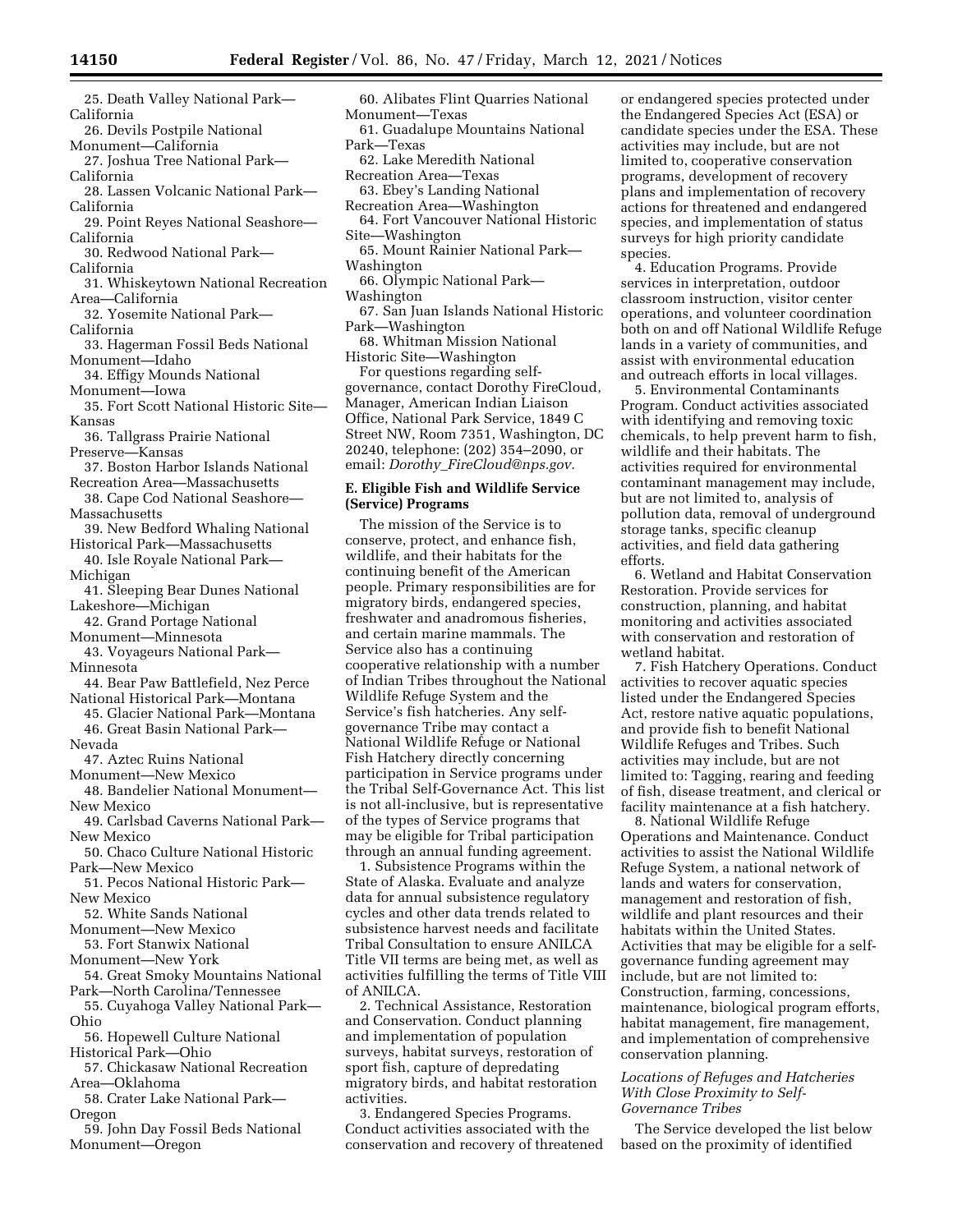- 25. Death Valley National Park— California
- 26. Devils Postpile National
- Monument—California 27. Joshua Tree National Park—
- California
- 28. Lassen Volcanic National Park— California
- 29. Point Reyes National Seashore— California
- 30. Redwood National Park— California
- 31. Whiskeytown National Recreation Area—California
- 32. Yosemite National Park— California
- 33. Hagerman Fossil Beds National Monument—Idaho
- 34. Effigy Mounds National Monument—Iowa
- 35. Fort Scott National Historic Site— Kansas

36. Tallgrass Prairie National Preserve—Kansas

- 37. Boston Harbor Islands National Recreation Area—Massachusetts
- 38. Cape Cod National Seashore— **Massachusetts**
- 39. New Bedford Whaling National Historical Park—Massachusetts
- 40. Isle Royale National Park— Michigan

41. Sleeping Bear Dunes National

- Lakeshore—Michigan
- 42. Grand Portage National Monument—Minnesota
- 43. Voyageurs National Park— Minnesota
- 44. Bear Paw Battlefield, Nez Perce National Historical Park—Montana
- 45. Glacier National Park—Montana 46. Great Basin National Park—
- Nevada
- 47. Aztec Ruins National
- Monument—New Mexico
- 48. Bandelier National Monument— New Mexico
- 49. Carlsbad Caverns National Park— New Mexico

50. Chaco Culture National Historic Park—New Mexico

- 51. Pecos National Historic Park— New Mexico
- 52. White Sands National
- Monument—New Mexico 53. Fort Stanwix National

Monument—New York

- 54. Great Smoky Mountains National Park—North Carolina/Tennessee
- 55. Cuyahoga Valley National Park— Ohio
- 56. Hopewell Culture National Historical Park—Ohio
- 57. Chickasaw National Recreation Area—Oklahoma
- 58. Crater Lake National Park— Oregon
- 59. John Day Fossil Beds National Monument—Oregon
- 60. Alibates Flint Quarries National Monument—Texas
- 61. Guadalupe Mountains National Park—Texas
- 62. Lake Meredith National Recreation Area—Texas
- 63. Ebey's Landing National Recreation Area—Washington
- 64. Fort Vancouver National Historic Site—Washington
- 65. Mount Rainier National Park— Washington
- 66. Olympic National Park— Washington
- 67. San Juan Islands National Historic
- Park—Washington 68. Whitman Mission National
- Historic Site—Washington

For questions regarding selfgovernance, contact Dorothy FireCloud, Manager, American Indian Liaison Office, National Park Service, 1849 C Street NW, Room 7351, Washington, DC 20240, telephone: (202) 354–2090, or email: *Dorothy*\_*[FireCloud@nps.gov.](mailto:Dorothy_FireCloud@nps.gov)* 

# **E. Eligible Fish and Wildlife Service (Service) Programs**

The mission of the Service is to conserve, protect, and enhance fish, wildlife, and their habitats for the continuing benefit of the American people. Primary responsibilities are for migratory birds, endangered species, freshwater and anadromous fisheries, and certain marine mammals. The Service also has a continuing cooperative relationship with a number of Indian Tribes throughout the National Wildlife Refuge System and the Service's fish hatcheries. Any selfgovernance Tribe may contact a National Wildlife Refuge or National Fish Hatchery directly concerning participation in Service programs under the Tribal Self-Governance Act. This list is not all-inclusive, but is representative of the types of Service programs that may be eligible for Tribal participation through an annual funding agreement.

1. Subsistence Programs within the State of Alaska. Evaluate and analyze data for annual subsistence regulatory cycles and other data trends related to subsistence harvest needs and facilitate Tribal Consultation to ensure ANILCA Title VII terms are being met, as well as activities fulfilling the terms of Title VIII of ANILCA.

2. Technical Assistance, Restoration and Conservation. Conduct planning and implementation of population surveys, habitat surveys, restoration of sport fish, capture of depredating migratory birds, and habitat restoration activities.

3. Endangered Species Programs. Conduct activities associated with the conservation and recovery of threatened

or endangered species protected under the Endangered Species Act (ESA) or candidate species under the ESA. These activities may include, but are not limited to, cooperative conservation programs, development of recovery plans and implementation of recovery actions for threatened and endangered species, and implementation of status surveys for high priority candidate species.

4. Education Programs. Provide services in interpretation, outdoor classroom instruction, visitor center operations, and volunteer coordination both on and off National Wildlife Refuge lands in a variety of communities, and assist with environmental education and outreach efforts in local villages.

5. Environmental Contaminants Program. Conduct activities associated with identifying and removing toxic chemicals, to help prevent harm to fish, wildlife and their habitats. The activities required for environmental contaminant management may include, but are not limited to, analysis of pollution data, removal of underground storage tanks, specific cleanup activities, and field data gathering efforts.

6. Wetland and Habitat Conservation Restoration. Provide services for construction, planning, and habitat monitoring and activities associated with conservation and restoration of wetland habitat.

7. Fish Hatchery Operations. Conduct activities to recover aquatic species listed under the Endangered Species Act, restore native aquatic populations, and provide fish to benefit National Wildlife Refuges and Tribes. Such activities may include, but are not limited to: Tagging, rearing and feeding of fish, disease treatment, and clerical or facility maintenance at a fish hatchery.

8. National Wildlife Refuge Operations and Maintenance. Conduct activities to assist the National Wildlife Refuge System, a national network of lands and waters for conservation, management and restoration of fish, wildlife and plant resources and their habitats within the United States. Activities that may be eligible for a selfgovernance funding agreement may include, but are not limited to: Construction, farming, concessions, maintenance, biological program efforts, habitat management, fire management, and implementation of comprehensive conservation planning.

#### *Locations of Refuges and Hatcheries With Close Proximity to Self-Governance Tribes*

The Service developed the list below based on the proximity of identified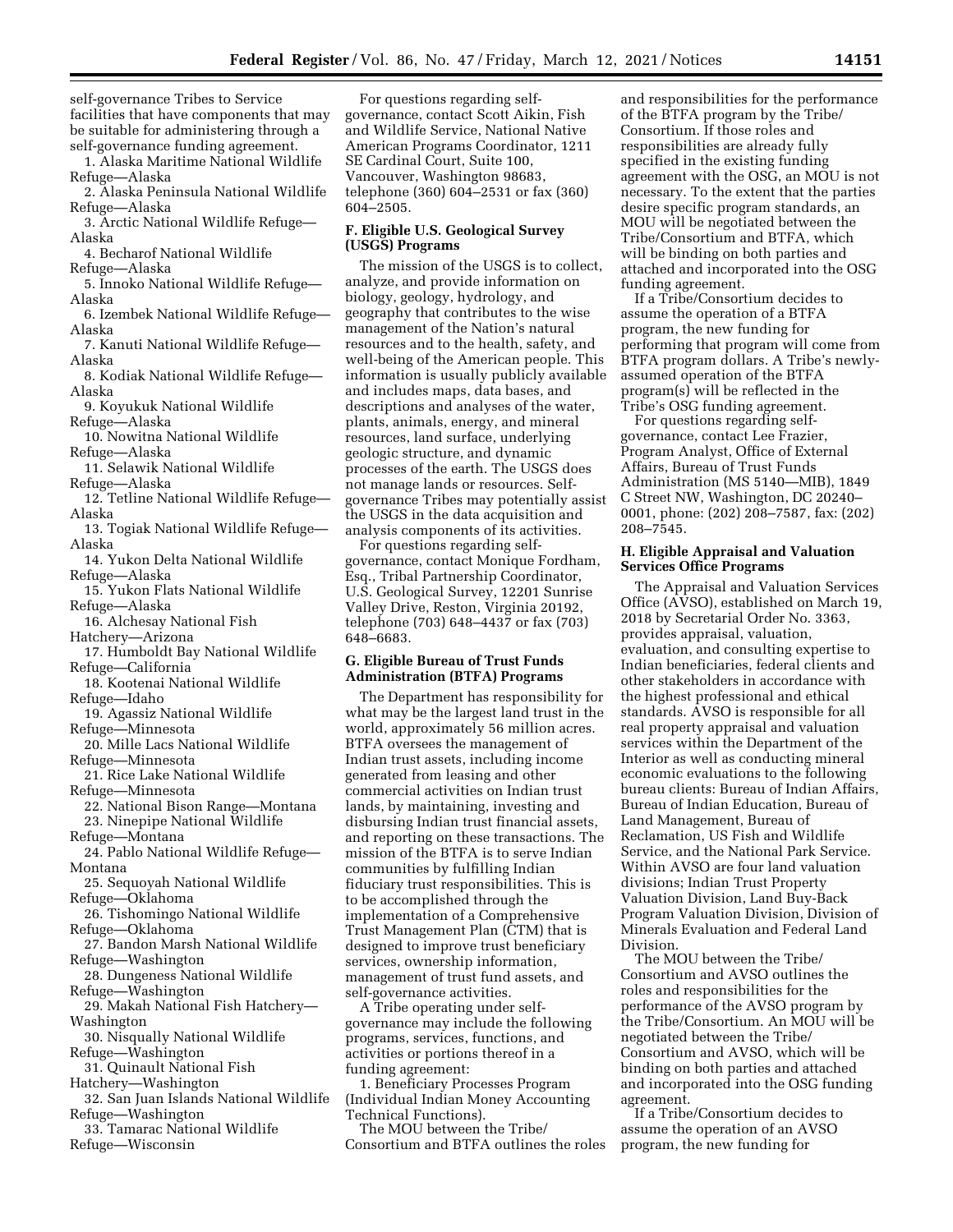self-governance Tribes to Service facilities that have components that may be suitable for administering through a self-governance funding agreement.

1. Alaska Maritime National Wildlife Refuge—Alaska

2. Alaska Peninsula National Wildlife Refuge—Alaska

3. Arctic National Wildlife Refuge— Alaska

4. Becharof National Wildlife Refuge—Alaska

5. Innoko National Wildlife Refuge— Alaska

6. Izembek National Wildlife Refuge— Alaska

7. Kanuti National Wildlife Refuge— Alaska

8. Kodiak National Wildlife Refuge— Alaska

9. Koyukuk National Wildlife

Refuge—Alaska

10. Nowitna National Wildlife Refuge—Alaska

11. Selawik National Wildlife Refuge—Alaska

12. Tetline National Wildlife Refuge— Alaska

- 13. Togiak National Wildlife Refuge— Alaska
- 14. Yukon Delta National Wildlife Refuge—Alaska

15. Yukon Flats National Wildlife Refuge—Alaska

16. Alchesay National Fish Hatchery—Arizona

17. Humboldt Bay National Wildlife Refuge—California

18. Kootenai National Wildlife Refuge—Idaho

19. Agassiz National Wildlife

Refuge—Minnesota 20. Mille Lacs National Wildlife

Refuge—Minnesota 21. Rice Lake National Wildlife

Refuge—Minnesota

22. National Bison Range—Montana 23. Ninepipe National Wildlife Refuge—Montana

24. Pablo National Wildlife Refuge— Montana

25. Sequoyah National Wildlife Refuge—Oklahoma

26. Tishomingo National Wildlife Refuge—Oklahoma

27. Bandon Marsh National Wildlife Refuge—Washington

28. Dungeness National Wildlife Refuge—Washington

29. Makah National Fish Hatchery— Washington

30. Nisqually National Wildlife Refuge—Washington

31. Quinault National Fish Hatchery—Washington

32. San Juan Islands National Wildlife Refuge—Washington

33. Tamarac National Wildlife Refuge—Wisconsin

For questions regarding selfgovernance, contact Scott Aikin, Fish and Wildlife Service, National Native American Programs Coordinator, 1211 SE Cardinal Court, Suite 100, Vancouver, Washington 98683, telephone (360) 604–2531 or fax (360) 604–2505.

### **F. Eligible U.S. Geological Survey (USGS) Programs**

The mission of the USGS is to collect, analyze, and provide information on biology, geology, hydrology, and geography that contributes to the wise management of the Nation's natural resources and to the health, safety, and well-being of the American people. This information is usually publicly available and includes maps, data bases, and descriptions and analyses of the water, plants, animals, energy, and mineral resources, land surface, underlying geologic structure, and dynamic processes of the earth. The USGS does not manage lands or resources. Selfgovernance Tribes may potentially assist the USGS in the data acquisition and analysis components of its activities.

For questions regarding selfgovernance, contact Monique Fordham, Esq., Tribal Partnership Coordinator, U.S. Geological Survey, 12201 Sunrise Valley Drive, Reston, Virginia 20192, telephone (703) 648–4437 or fax (703) 648–6683.

## **G. Eligible Bureau of Trust Funds Administration (BTFA) Programs**

The Department has responsibility for what may be the largest land trust in the world, approximately 56 million acres. BTFA oversees the management of Indian trust assets, including income generated from leasing and other commercial activities on Indian trust lands, by maintaining, investing and disbursing Indian trust financial assets, and reporting on these transactions. The mission of the BTFA is to serve Indian communities by fulfilling Indian fiduciary trust responsibilities. This is to be accomplished through the implementation of a Comprehensive Trust Management Plan (CTM) that is designed to improve trust beneficiary services, ownership information, management of trust fund assets, and self-governance activities.

A Tribe operating under selfgovernance may include the following programs, services, functions, and activities or portions thereof in a funding agreement:

1. Beneficiary Processes Program (Individual Indian Money Accounting Technical Functions).

The MOU between the Tribe/ Consortium and BTFA outlines the roles and responsibilities for the performance of the BTFA program by the Tribe/ Consortium. If those roles and responsibilities are already fully specified in the existing funding agreement with the OSG, an MOU is not necessary. To the extent that the parties desire specific program standards, an MOU will be negotiated between the Tribe/Consortium and BTFA, which will be binding on both parties and attached and incorporated into the OSG funding agreement.

If a Tribe/Consortium decides to assume the operation of a BTFA program, the new funding for performing that program will come from BTFA program dollars. A Tribe's newlyassumed operation of the BTFA program(s) will be reflected in the Tribe's OSG funding agreement.

For questions regarding selfgovernance, contact Lee Frazier, Program Analyst, Office of External Affairs, Bureau of Trust Funds Administration (MS 5140—MIB), 1849 C Street NW, Washington, DC 20240– 0001, phone: (202) 208–7587, fax: (202) 208–7545.

#### **H. Eligible Appraisal and Valuation Services Office Programs**

The Appraisal and Valuation Services Office (AVSO), established on March 19, 2018 by Secretarial Order No. 3363, provides appraisal, valuation, evaluation, and consulting expertise to Indian beneficiaries, federal clients and other stakeholders in accordance with the highest professional and ethical standards. AVSO is responsible for all real property appraisal and valuation services within the Department of the Interior as well as conducting mineral economic evaluations to the following bureau clients: Bureau of Indian Affairs, Bureau of Indian Education, Bureau of Land Management, Bureau of Reclamation, US Fish and Wildlife Service, and the National Park Service. Within AVSO are four land valuation divisions; Indian Trust Property Valuation Division, Land Buy-Back Program Valuation Division, Division of Minerals Evaluation and Federal Land Division.

The MOU between the Tribe/ Consortium and AVSO outlines the roles and responsibilities for the performance of the AVSO program by the Tribe/Consortium. An MOU will be negotiated between the Tribe/ Consortium and AVSO, which will be binding on both parties and attached and incorporated into the OSG funding agreement.

If a Tribe/Consortium decides to assume the operation of an AVSO program, the new funding for